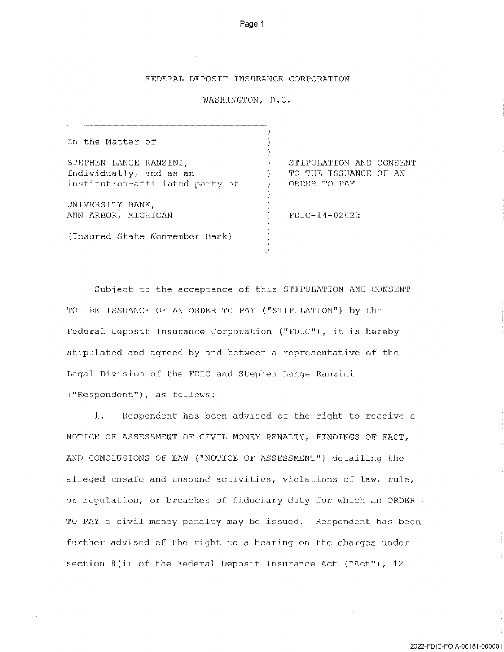## FEDERRL DEPOSIT INSURANCE CORPORRTION

## WASHINGTON, D.C.

| In the Matter of                |                         |
|---------------------------------|-------------------------|
| STEPHEN LANGE RANZINI,          | STIPULATION AND CONSENT |
| Individually, and as an         | TO THE ISSUANCE OF AN   |
| institution-affiliated party of | ORDER TO PAY            |
|                                 |                         |
| UNIVERSITY BANK,                |                         |
| ANN ARBOR, MICHIGAN             | $FDIC-14-0282k$         |
|                                 |                         |
| (Insured State Nonmember Bank)  |                         |
|                                 |                         |

Subject to the acceptance of this STIPULATION AND CONSENT TO THE ISSUANCE OF AN ORDER TO PAY ("STIPULATION") by the Federal Deposit Insurance Corporation ("FDIC"), it is hereby stipulated and agreed by and between a representative of the Legal Division of the FDIC and Stephen Lange Ranzini ("Respondent"), as follows:

1. Respondent has been advised of the right to receive NOTICE OF ASSESSMENT OF CIVIL MONEY PENALTY, FINDINGS OF FACT, AND CONCLUSIONS OF LAW ("NOTICE OF ASSESSMENT") detailing the alleged unsafe and unsound activities, violations of law, rule, or regulation, or breaches of fiduciary duty for which an ORDER TO PAY a civil money penalty may be issued. Respondent has been further advised of the right to a hearing on the charges under section  $8(i)$  of the Federal Deposit Insurance Act ("Act"), 12

2022-FDIC-FOIA-OO181-000001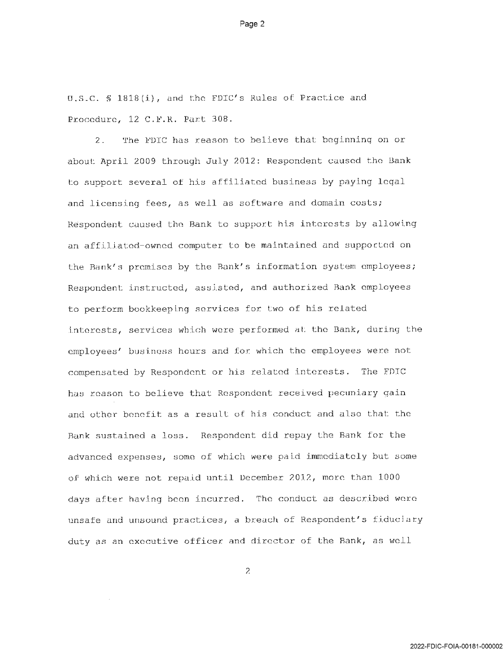U.S.C.  $\frac{1818(i)}{i}$ , and the FDIC's Rules of Practice and Procedure, 12 C.F.R. Part 308.

Page 2

2. The FDIC has reason to believe that beginning on or about April 2009 through July 2012: Respondent caused the Bank to support several of his affiliated business by paying leqal and licensing fees, as well as software and domain costs; Respondent caused the Bank to support his interests by allowing an affiliated-owned computer to be maintained and supported on the Bank's premises by the Bank's information system employees; Respondent instructed, assisted, and authorized Bank employees to perform bookkeeping services for two of his related interests, services which were performed at the Bank, during the employees' business hours and for which the employees were not compensated by Respondent or his related interests. The FDIC has reason to believe that Respondent received pecuniary gain and other benefit as a result of his conduct and also that the Bank sustained a loss. Respondent did repay the Bank for the advanced expenses, some of which were paid immediately but some of which were not repaid until December 2012, more than 1000 days after having been incurred. The conduct as described were unsafe and unsound practices, a breach of Respondent's fiduciary duty as an executive officer and director of the Bank, as well

 $\mathcal{Z}$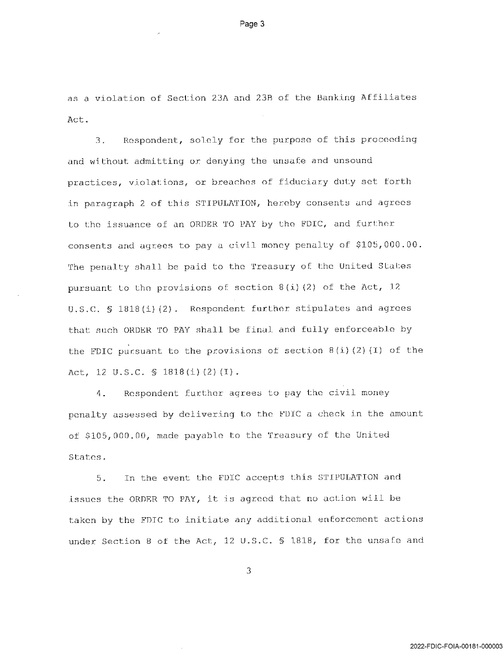as violation of Section 23A and 23B of the Banking Affiliates Act.

Page 3

3. Respondent, solely for the purpose of this proceeding and without admitting or denying the unsafe and unsound practices, violations, or breaches of fiduciary duty set forth in paragraph 2 of this STIPULATION, hereby consents and agrees to the issuance of an ORDER TO PAY by the FDIC, and further consents and agrees to pay civil money penalty of \$105,000.00. The penalty shall be paid to the Treasury of the United States pursuant to the provisions of section  $8(i)(2)$  of the Act, 12 U.S.C. § 1818(i)(2). Respondent further stipulates and agrees that such ORDER TO PAY shall be final and fully enforceable by the FDIC pursuant to the provisions of section  $B(i)(2)(I)$  of the Act, 12 U.S.C. § 1818(i)(2)(I).

4. Respondent further agrees to pay the civil money penalty assessed by delivering to the FDIC a check in the amount of \$105,000.00, made payable to the Treasury of the United States.

5. In the event the FDIC accepts this SIIPULATION and issues the ORDER TO PAY, it is agreed that no action will be taken by the FDIC to initiate any additional enforcement actions under Section 8 of the Act, 12 U.S.C. § 1818, for the unsafe and

3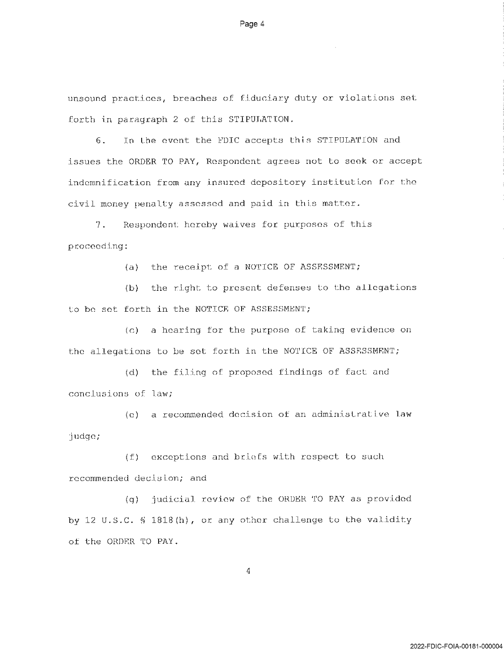unsound practices, breaches of fiduciary duty or violations set forth in paragraph 2 of this STIPULATION.

Page 4

6. In the event the FDIC accepts this STIPULATION and issues the ORDER TO PAY, Respondent agrees not to seek or accept indemnification from any insured depository institution for the civil money penalty assessed and paid in this matter.

7. Respondent hereby waives for purposes of this proceeding:

(a) the receipt of a NOTICE OF ASSESSMENT;

(b) the right to present defenses to the allegations to be set forth in the NOTICE OF ASSESSMENT;

(c) a hearing for the purpose of taking evidence on the allegations to be set forth in the NOTICE OF ASSESSMENT;

(d) the filing of proposed findings of fact and conclusions of law;

(e) a recommended decision of an administrative law judge;

(f) exceptions and briefs with respect to such recommended decision; and

{g} judicial review of the ORDER TO PAY as provided by 12 U.S.C.  $\frac{1818(h)}{h}$ , or any other challenge to the validity of the ORDER TO PAY.

 $\overline{4}$